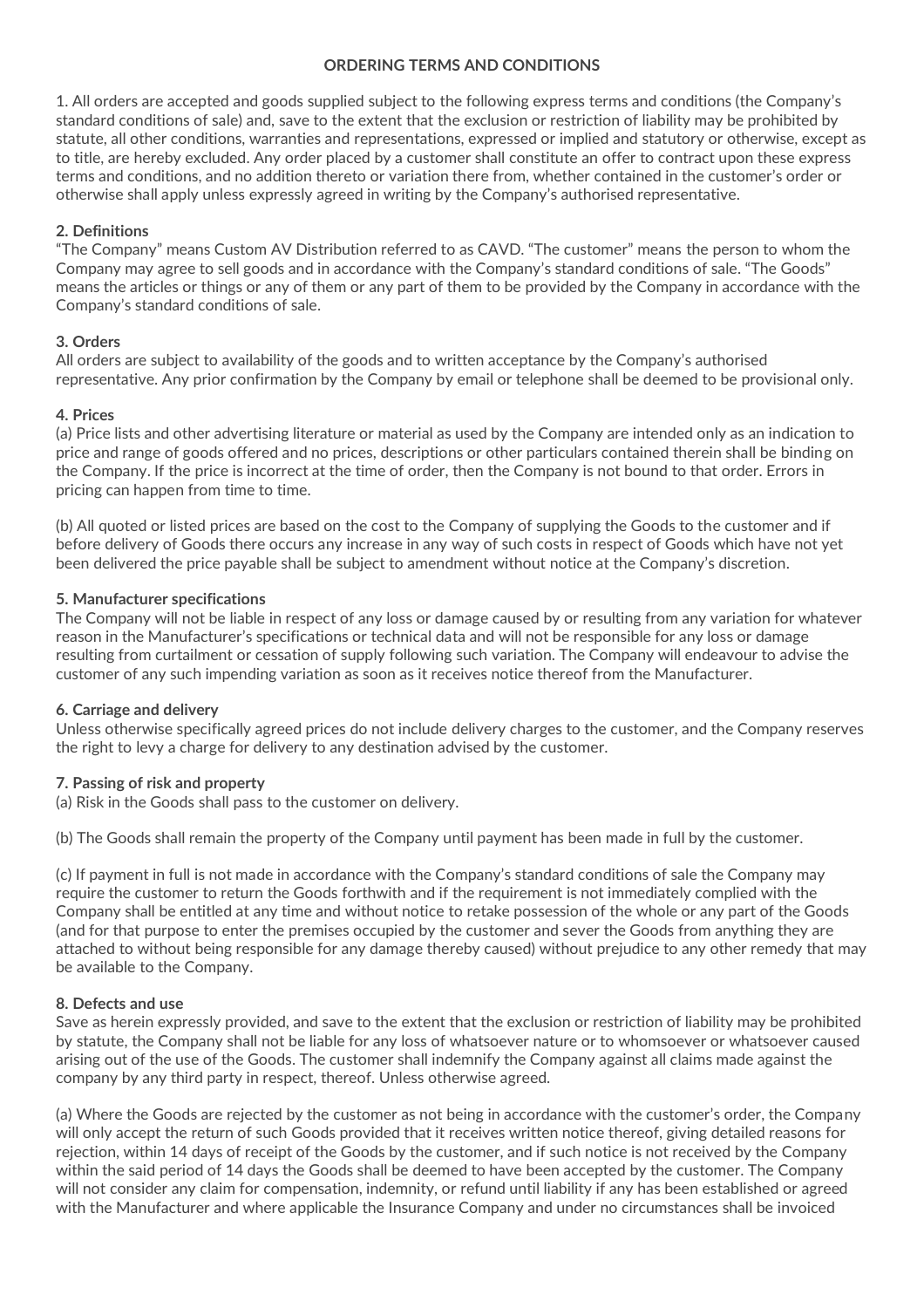# **ORDERING TERMS AND CONDITIONS**

1. All orders are accepted and goods supplied subject to the following express terms and conditions (the Company's standard conditions of sale) and, save to the extent that the exclusion or restriction of liability may be prohibited by statute, all other conditions, warranties and representations, expressed or implied and statutory or otherwise, except as to title, are hereby excluded. Any order placed by a customer shall constitute an offer to contract upon these express terms and conditions, and no addition thereto or variation there from, whether contained in the customer's order or otherwise shall apply unless expressly agreed in writing by the Company's authorised representative.

# **2. Definitions**

"The Company" means Custom AV Distribution referred to as CAVD. "The customer" means the person to whom the Company may agree to sell goods and in accordance with the Company's standard conditions of sale. "The Goods" means the articles or things or any of them or any part of them to be provided by the Company in accordance with the Company's standard conditions of sale.

# **3. Orders**

All orders are subject to availability of the goods and to written acceptance by the Company's authorised representative. Any prior confirmation by the Company by email or telephone shall be deemed to be provisional only.

# **4. Prices**

(a) Price lists and other advertising literature or material as used by the Company are intended only as an indication to price and range of goods offered and no prices, descriptions or other particulars contained therein shall be binding on the Company. If the price is incorrect at the time of order, then the Company is not bound to that order. Errors in pricing can happen from time to time.

(b) All quoted or listed prices are based on the cost to the Company of supplying the Goods to the customer and if before delivery of Goods there occurs any increase in any way of such costs in respect of Goods which have not yet been delivered the price payable shall be subject to amendment without notice at the Company's discretion.

# **5. Manufacturer specifications**

The Company will not be liable in respect of any loss or damage caused by or resulting from any variation for whatever reason in the Manufacturer's specifications or technical data and will not be responsible for any loss or damage resulting from curtailment or cessation of supply following such variation. The Company will endeavour to advise the customer of any such impending variation as soon as it receives notice thereof from the Manufacturer.

# **6. Carriage and delivery**

Unless otherwise specifically agreed prices do not include delivery charges to the customer, and the Company reserves the right to levy a charge for delivery to any destination advised by the customer.

# **7. Passing of risk and property**

(a) Risk in the Goods shall pass to the customer on delivery.

(b) The Goods shall remain the property of the Company until payment has been made in full by the customer.

(c) If payment in full is not made in accordance with the Company's standard conditions of sale the Company may require the customer to return the Goods forthwith and if the requirement is not immediately complied with the Company shall be entitled at any time and without notice to retake possession of the whole or any part of the Goods (and for that purpose to enter the premises occupied by the customer and sever the Goods from anything they are attached to without being responsible for any damage thereby caused) without prejudice to any other remedy that may be available to the Company.

# **8. Defects and use**

Save as herein expressly provided, and save to the extent that the exclusion or restriction of liability may be prohibited by statute, the Company shall not be liable for any loss of whatsoever nature or to whomsoever or whatsoever caused arising out of the use of the Goods. The customer shall indemnify the Company against all claims made against the company by any third party in respect, thereof. Unless otherwise agreed.

(a) Where the Goods are rejected by the customer as not being in accordance with the customer's order, the Company will only accept the return of such Goods provided that it receives written notice thereof, giving detailed reasons for rejection, within 14 days of receipt of the Goods by the customer, and if such notice is not received by the Company within the said period of 14 days the Goods shall be deemed to have been accepted by the customer. The Company will not consider any claim for compensation, indemnity, or refund until liability if any has been established or agreed with the Manufacturer and where applicable the Insurance Company and under no circumstances shall be invoiced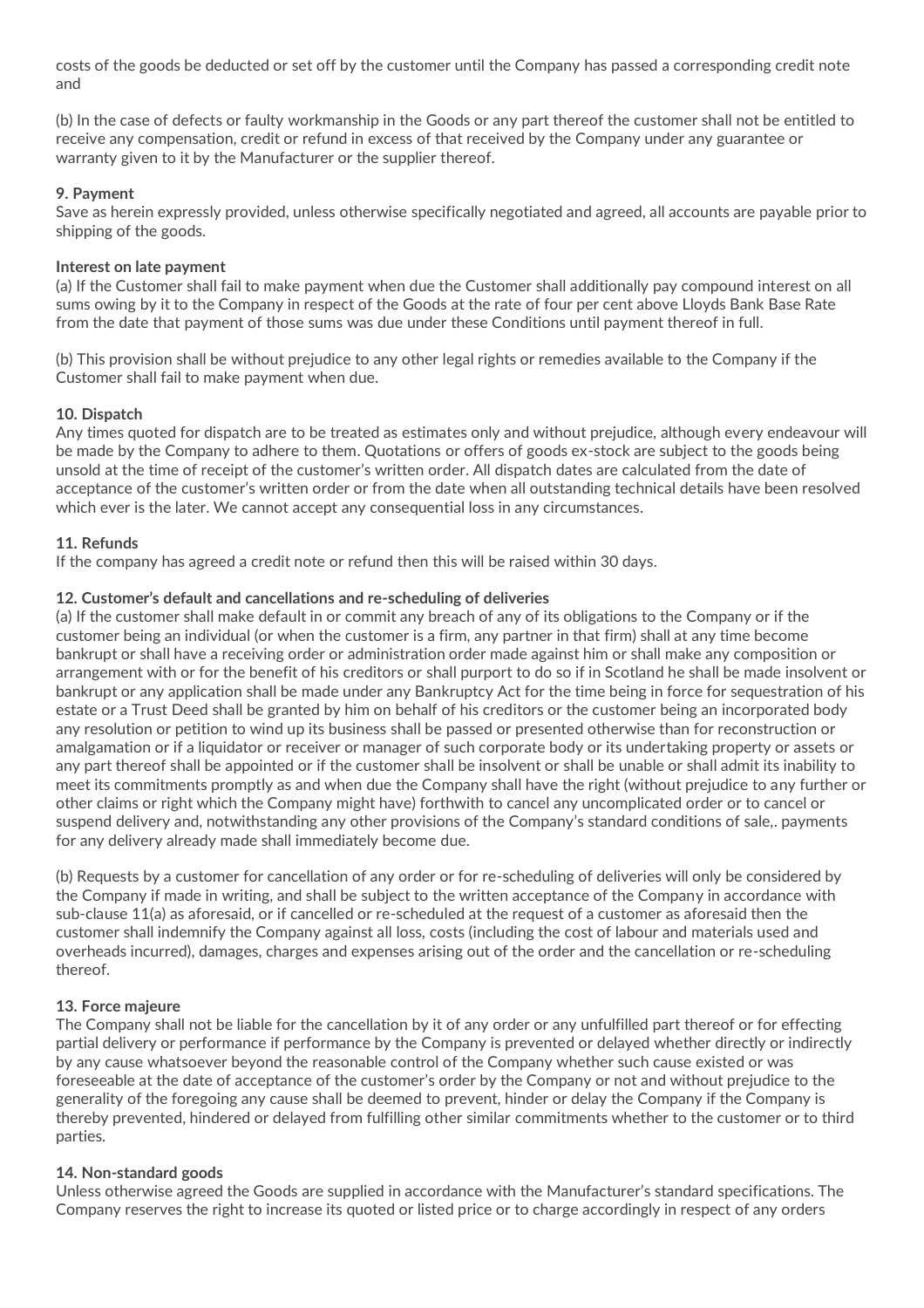costs of the goods be deducted or set off by the customer until the Company has passed a corresponding credit note and

(b) In the case of defects or faulty workmanship in the Goods or any part thereof the customer shall not be entitled to receive any compensation, credit or refund in excess of that received by the Company under any guarantee or warranty given to it by the Manufacturer or the supplier thereof.

# **9. Payment**

Save as herein expressly provided, unless otherwise specifically negotiated and agreed, all accounts are payable prior to shipping of the goods.

# **Interest on late payment**

(a) If the Customer shall fail to make payment when due the Customer shall additionally pay compound interest on all sums owing by it to the Company in respect of the Goods at the rate of four per cent above Lloyds Bank Base Rate from the date that payment of those sums was due under these Conditions until payment thereof in full.

(b) This provision shall be without prejudice to any other legal rights or remedies available to the Company if the Customer shall fail to make payment when due.

#### **10. Dispatch**

Any times quoted for dispatch are to be treated as estimates only and without prejudice, although every endeavour will be made by the Company to adhere to them. Quotations or offers of goods ex-stock are subject to the goods being unsold at the time of receipt of the customer's written order. All dispatch dates are calculated from the date of acceptance of the customer's written order or from the date when all outstanding technical details have been resolved which ever is the later. We cannot accept any consequential loss in any circumstances.

#### **11. Refunds**

If the company has agreed a credit note or refund then this will be raised within 30 days.

#### **12. Customer's default and cancellations and re-scheduling of deliveries**

(a) If the customer shall make default in or commit any breach of any of its obligations to the Company or if the customer being an individual (or when the customer is a firm, any partner in that firm) shall at any time become bankrupt or shall have a receiving order or administration order made against him or shall make any composition or arrangement with or for the benefit of his creditors or shall purport to do so if in Scotland he shall be made insolvent or bankrupt or any application shall be made under any Bankruptcy Act for the time being in force for sequestration of his estate or a Trust Deed shall be granted by him on behalf of his creditors or the customer being an incorporated body any resolution or petition to wind up its business shall be passed or presented otherwise than for reconstruction or amalgamation or if a liquidator or receiver or manager of such corporate body or its undertaking property or assets or any part thereof shall be appointed or if the customer shall be insolvent or shall be unable or shall admit its inability to meet its commitments promptly as and when due the Company shall have the right (without prejudice to any further or other claims or right which the Company might have) forthwith to cancel any uncomplicated order or to cancel or suspend delivery and, notwithstanding any other provisions of the Company's standard conditions of sale,. payments for any delivery already made shall immediately become due.

(b) Requests by a customer for cancellation of any order or for re-scheduling of deliveries will only be considered by the Company if made in writing, and shall be subject to the written acceptance of the Company in accordance with sub-clause 11(a) as aforesaid, or if cancelled or re-scheduled at the request of a customer as aforesaid then the customer shall indemnify the Company against all loss, costs (including the cost of labour and materials used and overheads incurred), damages, charges and expenses arising out of the order and the cancellation or re-scheduling thereof.

#### **13. Force majeure**

The Company shall not be liable for the cancellation by it of any order or any unfulfilled part thereof or for effecting partial delivery or performance if performance by the Company is prevented or delayed whether directly or indirectly by any cause whatsoever beyond the reasonable control of the Company whether such cause existed or was foreseeable at the date of acceptance of the customer's order by the Company or not and without prejudice to the generality of the foregoing any cause shall be deemed to prevent, hinder or delay the Company if the Company is thereby prevented, hindered or delayed from fulfilling other similar commitments whether to the customer or to third parties.

# **14. Non-standard goods**

Unless otherwise agreed the Goods are supplied in accordance with the Manufacturer's standard specifications. The Company reserves the right to increase its quoted or listed price or to charge accordingly in respect of any orders